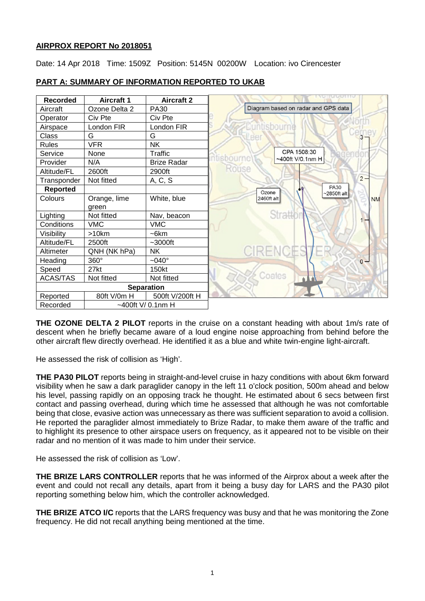## **AIRPROX REPORT No 2018051**

Date: 14 Apr 2018 Time: 1509Z Position: 5145N 00200W Location: ivo Cirencester

| <b>Recorded</b>   | <b>Aircraft 1</b> | <b>Aircraft 2</b>  | <u>inu inu uma</u>                        |           |
|-------------------|-------------------|--------------------|-------------------------------------------|-----------|
| Aircraft          | Ozone Delta 2     | <b>PA30</b>        | Diagram based on radar and GPS data       |           |
| Operator          | Civ Pte           | Civ Pte            |                                           |           |
| Airspace          | London FIR        | London FIR         | <b>Euntisbourne</b>                       |           |
| Class             | G                 | G                  | eer                                       |           |
| <b>Rules</b>      | <b>VFR</b>        | <b>NK</b>          |                                           |           |
| Service           | None              | Traffic            | CPA 1508:30<br>egende<br>sbour            |           |
| Provider          | N/A               | <b>Brize Radar</b> | ~400ft V/0.1nm H                          |           |
| Altitude/FL       | 2600ft            | 2900ft             | Rouse                                     |           |
| Transponder       | Not fitted        | A, C, S            |                                           | $2 -$     |
| <b>Reported</b>   |                   |                    | <b>PA30</b><br>Ozone<br>$\sim$ 2850ft alt |           |
| Colours           | Orange, lime      | White, blue        | 2460ft alt                                | <b>NM</b> |
|                   | green             |                    |                                           |           |
| Lighting          | Not fitted        | Nav, beacon        | <b>Stratto</b>                            |           |
| Conditions        | <b>VMC</b>        | <b>VMC</b>         |                                           |           |
| Visibility        | >10km             | $-6km$             |                                           |           |
| Altitude/FL       | 2500ft            | $~1$ -3000ft       |                                           |           |
| Altimeter         | QNH (NK hPa)      | <b>NK</b>          | <b>CIRENCES</b>                           |           |
| Heading           | 360°              | $-040^\circ$       |                                           | $0 -$     |
| Speed             | 27kt              | 150kt              |                                           |           |
| <b>ACAS/TAS</b>   | Not fitted        | Not fitted         | Coates<br>$\triangle$                     |           |
| <b>Separation</b> |                   |                    |                                           |           |
| Reported          | 80ft V/0m H       | 500ft V/200ft H    |                                           |           |
| Recorded          | ~400ft V/ 0.1nm H |                    |                                           |           |

# **PART A: SUMMARY OF INFORMATION REPORTED TO UKAB**

**THE OZONE DELTA 2 PILOT** reports in the cruise on a constant heading with about 1m/s rate of descent when he briefly became aware of a loud engine noise approaching from behind before the other aircraft flew directly overhead. He identified it as a blue and white twin-engine light-aircraft.

He assessed the risk of collision as 'High'.

**THE PA30 PILOT** reports being in straight-and-level cruise in hazy conditions with about 6km forward visibility when he saw a dark paraglider canopy in the left 11 o'clock position, 500m ahead and below his level, passing rapidly on an opposing track he thought. He estimated about 6 secs between first contact and passing overhead, during which time he assessed that although he was not comfortable being that close, evasive action was unnecessary as there was sufficient separation to avoid a collision. He reported the paraglider almost immediately to Brize Radar, to make them aware of the traffic and to highlight its presence to other airspace users on frequency, as it appeared not to be visible on their radar and no mention of it was made to him under their service.

He assessed the risk of collision as 'Low'.

**THE BRIZE LARS CONTROLLER** reports that he was informed of the Airprox about a week after the event and could not recall any details, apart from it being a busy day for LARS and the PA30 pilot reporting something below him, which the controller acknowledged.

**THE BRIZE ATCO I/C** reports that the LARS frequency was busy and that he was monitoring the Zone frequency. He did not recall anything being mentioned at the time.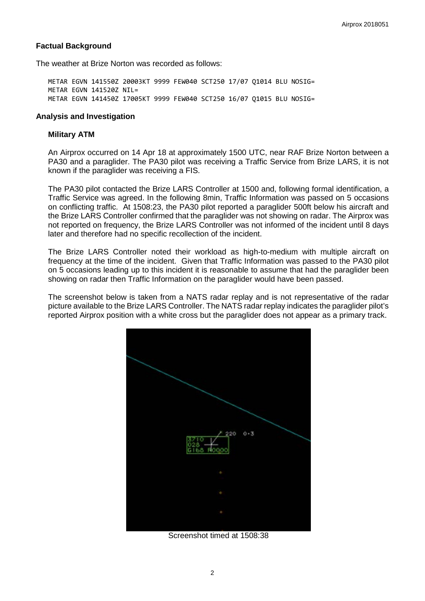#### **Factual Background**

The weather at Brize Norton was recorded as follows:

METAR EGVN 141550Z 20003KT 9999 FEW040 SCT250 17/07 Q1014 BLU NOSIG= METAR EGVN 141520Z NIL= METAR EGVN 141450Z 17005KT 9999 FEW040 SCT250 16/07 Q1015 BLU NOSIG=

#### **Analysis and Investigation**

#### **Military ATM**

An Airprox occurred on 14 Apr 18 at approximately 1500 UTC, near RAF Brize Norton between a PA30 and a paraglider. The PA30 pilot was receiving a Traffic Service from Brize LARS, it is not known if the paraglider was receiving a FIS.

The PA30 pilot contacted the Brize LARS Controller at 1500 and, following formal identification, a Traffic Service was agreed. In the following 8min, Traffic Information was passed on 5 occasions on conflicting traffic. At 1508:23, the PA30 pilot reported a paraglider 500ft below his aircraft and the Brize LARS Controller confirmed that the paraglider was not showing on radar. The Airprox was not reported on frequency, the Brize LARS Controller was not informed of the incident until 8 days later and therefore had no specific recollection of the incident.

The Brize LARS Controller noted their workload as high-to-medium with multiple aircraft on frequency at the time of the incident. Given that Traffic Information was passed to the PA30 pilot on 5 occasions leading up to this incident it is reasonable to assume that had the paraglider been showing on radar then Traffic Information on the paraglider would have been passed.

The screenshot below is taken from a NATS radar replay and is not representative of the radar picture available to the Brize LARS Controller. The NATS radar replay indicates the paraglider pilot's reported Airprox position with a white cross but the paraglider does not appear as a primary track.



Screenshot timed at 1508:38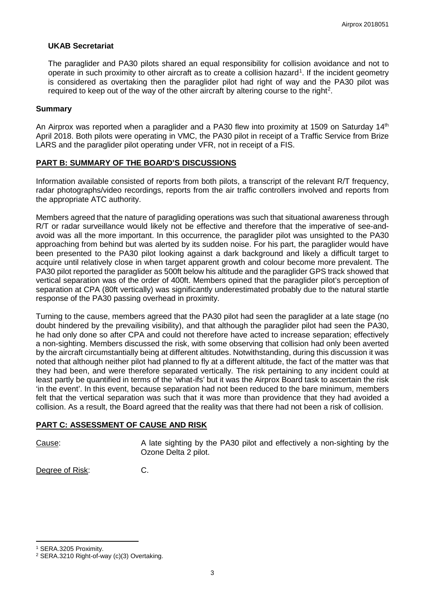#### **UKAB Secretariat**

The paraglider and PA30 pilots shared an equal responsibility for collision avoidance and not to operate in such proximity to other aircraft as to create a collision hazard<sup>[1](#page-2-0)</sup>. If the incident geometry is considered as overtaking then the paraglider pilot had right of way and the PA30 pilot was required to keep out of the way of the other aircraft by altering course to the right<sup>[2](#page-2-1)</sup>.

#### **Summary**

An Airprox was reported when a paraglider and a PA30 flew into proximity at 1509 on Saturday 14<sup>th</sup> April 2018. Both pilots were operating in VMC, the PA30 pilot in receipt of a Traffic Service from Brize LARS and the paraglider pilot operating under VFR, not in receipt of a FIS.

#### **PART B: SUMMARY OF THE BOARD'S DISCUSSIONS**

Information available consisted of reports from both pilots, a transcript of the relevant R/T frequency, radar photographs/video recordings, reports from the air traffic controllers involved and reports from the appropriate ATC authority.

Members agreed that the nature of paragliding operations was such that situational awareness through R/T or radar surveillance would likely not be effective and therefore that the imperative of see-andavoid was all the more important. In this occurrence, the paraglider pilot was unsighted to the PA30 approaching from behind but was alerted by its sudden noise. For his part, the paraglider would have been presented to the PA30 pilot looking against a dark background and likely a difficult target to acquire until relatively close in when target apparent growth and colour become more prevalent. The PA30 pilot reported the paraglider as 500ft below his altitude and the paraglider GPS track showed that vertical separation was of the order of 400ft. Members opined that the paraglider pilot's perception of separation at CPA (80ft vertically) was significantly underestimated probably due to the natural startle response of the PA30 passing overhead in proximity.

Turning to the cause, members agreed that the PA30 pilot had seen the paraglider at a late stage (no doubt hindered by the prevailing visibility), and that although the paraglider pilot had seen the PA30, he had only done so after CPA and could not therefore have acted to increase separation; effectively a non-sighting. Members discussed the risk, with some observing that collision had only been averted by the aircraft circumstantially being at different altitudes. Notwithstanding, during this discussion it was noted that although neither pilot had planned to fly at a different altitude, the fact of the matter was that they had been, and were therefore separated vertically. The risk pertaining to any incident could at least partly be quantified in terms of the 'what-ifs' but it was the Airprox Board task to ascertain the risk 'in the event'. In this event, because separation had not been reduced to the bare minimum, members felt that the vertical separation was such that it was more than providence that they had avoided a collision. As a result, the Board agreed that the reality was that there had not been a risk of collision.

## **PART C: ASSESSMENT OF CAUSE AND RISK**

l

Cause: A late sighting by the PA30 pilot and effectively a non-sighting by the Ozone Delta 2 pilot.

Degree of Risk: C.

<span id="page-2-0"></span><sup>1</sup> SERA.3205 Proximity.

<span id="page-2-1"></span><sup>2</sup> SERA.3210 Right-of-way (c)(3) Overtaking.